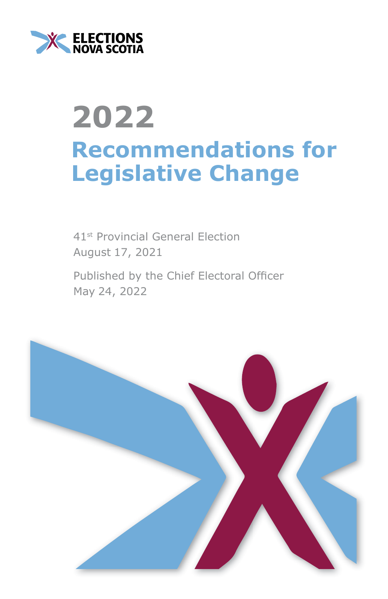

# **2022 Recommendations for Legislative Change**

41st Provincial General Election August 17, 2021

Published by the Chief Electoral Officer May 24, 2022

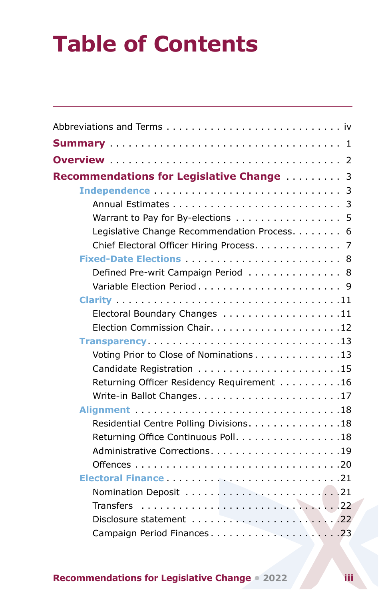## **Table of Contents**

| Recommendations for Legislative Change  3    |
|----------------------------------------------|
|                                              |
|                                              |
| Warrant to Pay for By-elections 5            |
| Legislative Change Recommendation Process. 6 |
| Chief Electoral Officer Hiring Process. 7    |
|                                              |
| Defined Pre-writ Campaign Period 8           |
|                                              |
|                                              |
| Electoral Boundary Changes 11                |
|                                              |
| Transparency13                               |
| Voting Prior to Close of Nominations 13      |
|                                              |
| Returning Officer Residency Requirement 16   |
|                                              |
|                                              |
| Residential Centre Polling Divisions. 18     |
| Returning Office Continuous Poll. 18         |
|                                              |
|                                              |
|                                              |
|                                              |
|                                              |
|                                              |
| Campaign Period Finances23                   |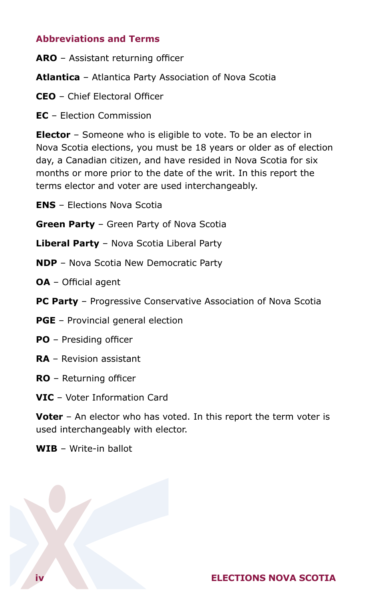## <span id="page-2-0"></span>**Abbreviations and Terms**

**ARO** – Assistant returning officer

**Atlantica** – Atlantica Party Association of Nova Scotia

- **CEO** Chief Electoral Officer
- **EC** Election Commission

**Elector** – Someone who is eligible to vote. To be an elector in Nova Scotia elections, you must be 18 years or older as of election day, a Canadian citizen, and have resided in Nova Scotia for six months or more prior to the date of the writ. In this report the terms elector and voter are used interchangeably.

- **ENS** Elections Nova Scotia
- **Green Party** Green Party of Nova Scotia
- **Liberal Party** Nova Scotia Liberal Party
- **NDP** Nova Scotia New Democratic Party
- **OA**  Official agent
- **PC Party** Progressive Conservative Association of Nova Scotia
- **PGE**  Provincial general election
- **PO** Presiding officer
- **RA**  Revision assistant
- **RO**  Returning officer
- **VIC**  Voter Information Card

**Voter** – An elector who has voted. In this report the term voter is used interchangeably with elector.

**WIB** – Write-in ballot

## **iv ELECTIONS NOVA SCOTIA**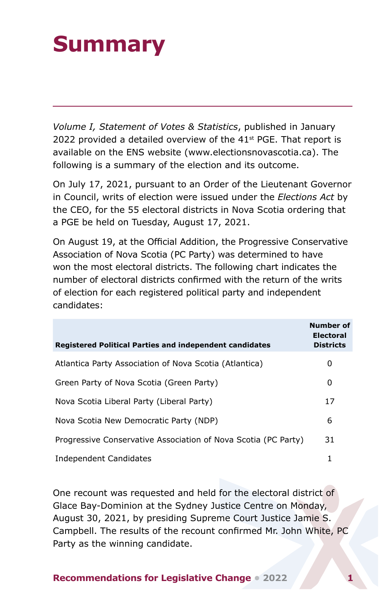## <span id="page-3-0"></span>**Summary**

*Volume I, Statement of Votes & Statistics*, published in January 2022 provided a detailed overview of the  $41<sup>st</sup>$  PGE. That report is available on the ENS website [\(www.electionsnovascotia.ca](http://www.electionsnovascotia.ca)). The following is a summary of the election and its outcome.

On July 17, 2021, pursuant to an Order of the Lieutenant Governor in Council, writs of election were issued under the *Elections Act* by the CEO, for the 55 electoral districts in Nova Scotia ordering that a PGE be held on Tuesday, August 17, 2021.

On August 19, at the Official Addition, the Progressive Conservative Association of Nova Scotia (PC Party) was determined to have won the most electoral districts. The following chart indicates the number of electoral districts confirmed with the return of the writs of election for each registered political party and independent candidates:

| Registered Political Parties and independent candidates        | Number of<br><b>Electoral</b><br><b>Districts</b> |
|----------------------------------------------------------------|---------------------------------------------------|
| Atlantica Party Association of Nova Scotia (Atlantica)         | 0                                                 |
| Green Party of Nova Scotia (Green Party)                       | 0                                                 |
| Nova Scotia Liberal Party (Liberal Party)                      | 17                                                |
| Nova Scotia New Democratic Party (NDP)                         | 6                                                 |
| Progressive Conservative Association of Nova Scotia (PC Party) | 31                                                |
| Independent Candidates                                         | 1                                                 |

One recount was requested and held for the electoral district of Glace Bay-Dominion at the Sydney Justice Centre on Monday, August 30, 2021, by presiding Supreme Court Justice Jamie S. Campbell. The results of the recount confirmed Mr. John White, PC Party as the winning candidate.

**Recommendations for Legislative Change • 2022**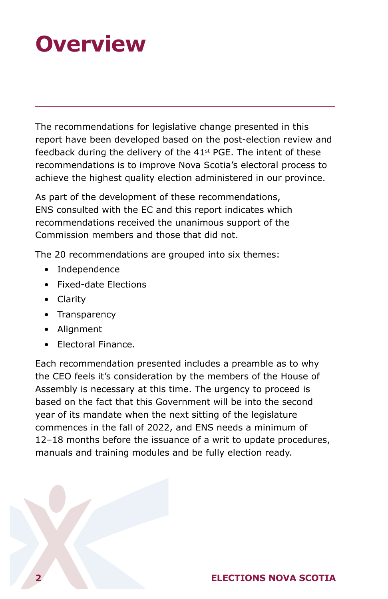## <span id="page-4-0"></span>**Overview**

The recommendations for legislative change presented in this report have been developed based on the post-election review and feedback during the delivery of the  $41<sup>st</sup>$  PGE. The intent of these recommendations is to improve Nova Scotia's electoral process to achieve the highest quality election administered in our province.

As part of the development of these recommendations, ENS consulted with the EC and this report indicates which recommendations received the unanimous support of the Commission members and those that did not.

The 20 recommendations are grouped into six themes:

- Independence
- Fixed-date Elections
- Clarity
- Transparency
- Alignment
- Electoral Finance.

Each recommendation presented includes a preamble as to why the CEO feels it's consideration by the members of the House of Assembly is necessary at this time. The urgency to proceed is based on the fact that this Government will be into the second year of its mandate when the next sitting of the legislature commences in the fall of 2022, and ENS needs a minimum of 12–18 months before the issuance of a writ to update procedures, manuals and training modules and be fully election ready.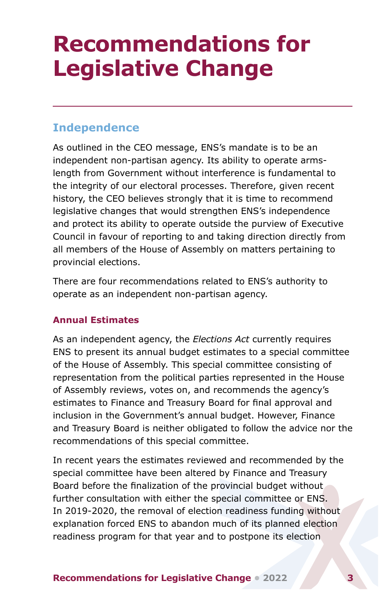## <span id="page-5-0"></span>**Recommendations for Legislative Change**

## **Independence**

As outlined in the CEO message, ENS's mandate is to be an independent non-partisan agency. Its ability to operate armslength from Government without interference is fundamental to the integrity of our electoral processes. Therefore, given recent history, the CEO believes strongly that it is time to recommend legislative changes that would strengthen ENS's independence and protect its ability to operate outside the purview of Executive Council in favour of reporting to and taking direction directly from all members of the House of Assembly on matters pertaining to provincial elections.

There are four recommendations related to ENS's authority to operate as an independent non-partisan agency.

### **Annual Estimates**

As an independent agency, the *Elections Act* currently requires ENS to present its annual budget estimates to a special committee of the House of Assembly. This special committee consisting of representation from the political parties represented in the House of Assembly reviews, votes on, and recommends the agency's estimates to Finance and Treasury Board for final approval and inclusion in the Government's annual budget. However, Finance and Treasury Board is neither obligated to follow the advice nor the recommendations of this special committee.

In recent years the estimates reviewed and recommended by the special committee have been altered by Finance and Treasury Board before the finalization of the provincial budget without further consultation with either the special committee or ENS. In 2019-2020, the removal of election readiness funding without explanation forced ENS to abandon much of its planned election readiness program for that year and to postpone its election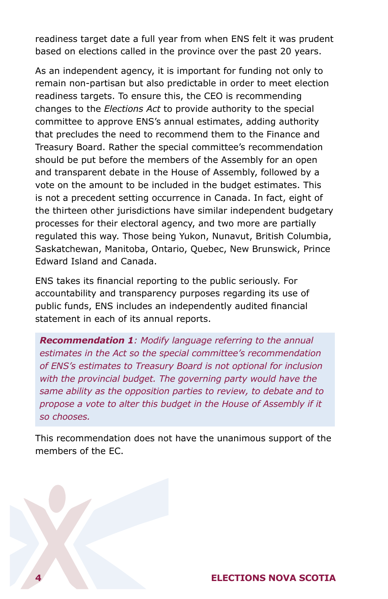readiness target date a full year from when ENS felt it was prudent based on elections called in the province over the past 20 years.

As an independent agency, it is important for funding not only to remain non-partisan but also predictable in order to meet election readiness targets. To ensure this, the CEO is recommending changes to the *Elections Act* to provide authority to the special committee to approve ENS's annual estimates, adding authority that precludes the need to recommend them to the Finance and Treasury Board. Rather the special committee's recommendation should be put before the members of the Assembly for an open and transparent debate in the House of Assembly, followed by a vote on the amount to be included in the budget estimates. This is not a precedent setting occurrence in Canada. In fact, eight of the thirteen other jurisdictions have similar independent budgetary processes for their electoral agency, and two more are partially regulated this way. Those being Yukon, Nunavut, British Columbia, Saskatchewan, Manitoba, Ontario, Quebec, New Brunswick, Prince Edward Island and Canada.

ENS takes its financial reporting to the public seriously. For accountability and transparency purposes regarding its use of public funds, ENS includes an independently audited financial statement in each of its annual reports.

*Recommendation 1: Modify language referring to the annual estimates in the Act so the special committee's recommendation of ENS's estimates to Treasury Board is not optional for inclusion with the provincial budget. The governing party would have the same ability as the opposition parties to review, to debate and to propose a vote to alter this budget in the House of Assembly if it so chooses.*

This recommendation does not have the unanimous support of the members of the EC.

### **4 ELECTIONS NOVA SCOTIA**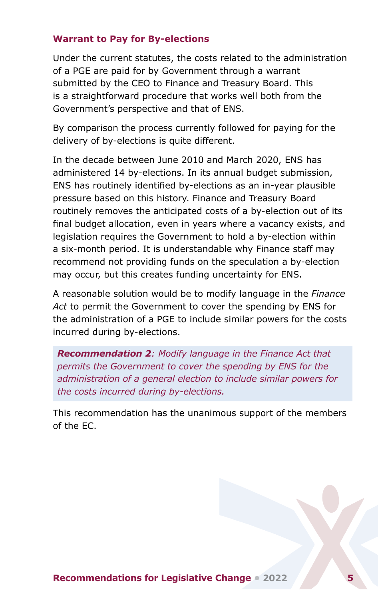#### <span id="page-7-0"></span>**Warrant to Pay for By-elections**

Under the current statutes, the costs related to the administration of a PGE are paid for by Government through a warrant submitted by the CEO to Finance and Treasury Board. This is a straightforward procedure that works well both from the Government's perspective and that of ENS.

By comparison the process currently followed for paying for the delivery of by-elections is quite different.

In the decade between June 2010 and March 2020, ENS has administered 14 by-elections. In its annual budget submission, ENS has routinely identified by-elections as an in-year plausible pressure based on this history. Finance and Treasury Board routinely removes the anticipated costs of a by-election out of its final budget allocation, even in years where a vacancy exists, and legislation requires the Government to hold a by-election within a six-month period. It is understandable why Finance staff may recommend not providing funds on the speculation a by-election may occur, but this creates funding uncertainty for ENS.

A reasonable solution would be to modify language in the *Finance Act* to permit the Government to cover the spending by ENS for the administration of a PGE to include similar powers for the costs incurred during by-elections.

*Recommendation 2: Modify language in the Finance Act that permits the Government to cover the spending by ENS for the administration of a general election to include similar powers for the costs incurred during by-elections.*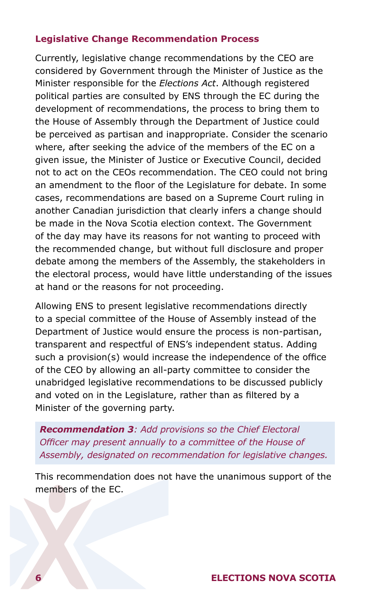#### <span id="page-8-0"></span>**Legislative Change Recommendation Process**

Currently, legislative change recommendations by the CEO are considered by Government through the Minister of Justice as the Minister responsible for the *Elections Act*. Although registered political parties are consulted by ENS through the EC during the development of recommendations, the process to bring them to the House of Assembly through the Department of Justice could be perceived as partisan and inappropriate. Consider the scenario where, after seeking the advice of the members of the EC on a given issue, the Minister of Justice or Executive Council, decided not to act on the CEOs recommendation. The CEO could not bring an amendment to the floor of the Legislature for debate. In some cases, recommendations are based on a Supreme Court ruling in another Canadian jurisdiction that clearly infers a change should be made in the Nova Scotia election context. The Government of the day may have its reasons for not wanting to proceed with the recommended change, but without full disclosure and proper debate among the members of the Assembly, the stakeholders in the electoral process, would have little understanding of the issues at hand or the reasons for not proceeding.

Allowing ENS to present legislative recommendations directly to a special committee of the House of Assembly instead of the Department of Justice would ensure the process is non-partisan, transparent and respectful of ENS's independent status. Adding such a provision(s) would increase the independence of the office of the CEO by allowing an all-party committee to consider the unabridged legislative recommendations to be discussed publicly and voted on in the Legislature, rather than as filtered by a Minister of the governing party.

*Recommendation 3: Add provisions so the Chief Electoral Officer may present annually to a committee of the House of Assembly, designated on recommendation for legislative changes.*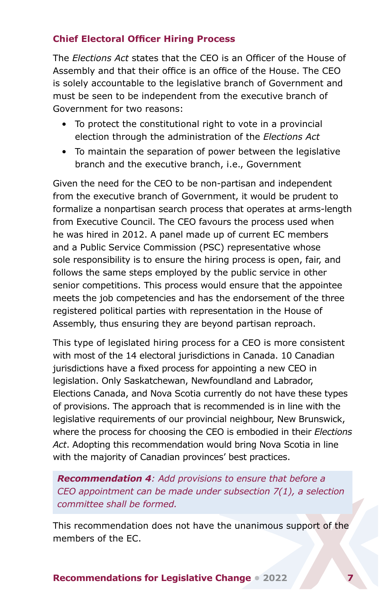## <span id="page-9-0"></span>**Chief Electoral Officer Hiring Process**

The *Elections Act* states that the CEO is an Officer of the House of Assembly and that their office is an office of the House. The CEO is solely accountable to the legislative branch of Government and must be seen to be independent from the executive branch of Government for two reasons:

- To protect the constitutional right to vote in a provincial election through the administration of the *Elections Act*
- To maintain the separation of power between the legislative branch and the executive branch, i.e., Government

Given the need for the CEO to be non-partisan and independent from the executive branch of Government, it would be prudent to formalize a nonpartisan search process that operates at arms-length from Executive Council. The CEO favours the process used when he was hired in 2012. A panel made up of current EC members and a Public Service Commission (PSC) representative whose sole responsibility is to ensure the hiring process is open, fair, and follows the same steps employed by the public service in other senior competitions. This process would ensure that the appointee meets the job competencies and has the endorsement of the three registered political parties with representation in the House of Assembly, thus ensuring they are beyond partisan reproach.

This type of legislated hiring process for a CEO is more consistent with most of the 14 electoral jurisdictions in Canada. 10 Canadian jurisdictions have a fixed process for appointing a new CEO in legislation. Only Saskatchewan, Newfoundland and Labrador, Elections Canada, and Nova Scotia currently do not have these types of provisions. The approach that is recommended is in line with the legislative requirements of our provincial neighbour, New Brunswick, where the process for choosing the CEO is embodied in their *Elections Act*. Adopting this recommendation would bring Nova Scotia in line with the majority of Canadian provinces' best practices.

*Recommendation 4: Add provisions to ensure that before a CEO appointment can be made under subsection 7(1), a selection committee shall be formed.*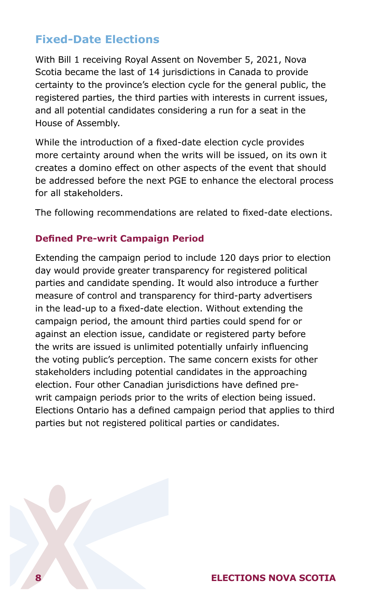## <span id="page-10-0"></span>**Fixed-Date Elections**

With Bill 1 receiving Royal Assent on November 5, 2021, Nova Scotia became the last of 14 jurisdictions in Canada to provide certainty to the province's election cycle for the general public, the registered parties, the third parties with interests in current issues, and all potential candidates considering a run for a seat in the House of Assembly.

While the introduction of a fixed-date election cycle provides more certainty around when the writs will be issued, on its own it creates a domino effect on other aspects of the event that should be addressed before the next PGE to enhance the electoral process for all stakeholders.

The following recommendations are related to fixed-date elections.

#### **Defined Pre-writ Campaign Period**

Extending the campaign period to include 120 days prior to election day would provide greater transparency for registered political parties and candidate spending. It would also introduce a further measure of control and transparency for third-party advertisers in the lead-up to a fixed-date election. Without extending the campaign period, the amount third parties could spend for or against an election issue, candidate or registered party before the writs are issued is unlimited potentially unfairly influencing the voting public's perception. The same concern exists for other stakeholders including potential candidates in the approaching election. Four other Canadian jurisdictions have defined prewrit campaign periods prior to the writs of election being issued. Elections Ontario has a defined campaign period that applies to third parties but not registered political parties or candidates.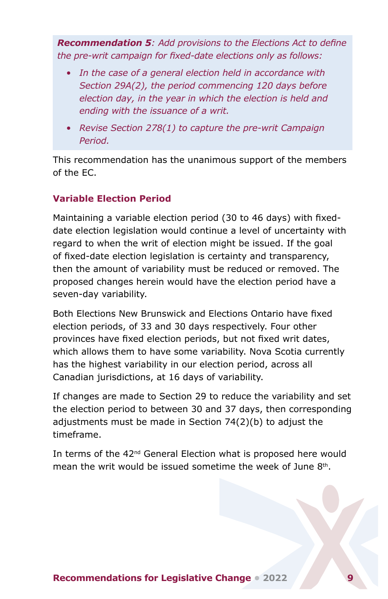<span id="page-11-0"></span>*Recommendation 5: Add provisions to the Elections Act to define the pre-writ campaign for fixed-date elections only as follows:* 

- *• In the case of a general election held in accordance with Section 29A(2), the period commencing 120 days before election day, in the year in which the election is held and ending with the issuance of a writ.*
- *• Revise Section 278(1) to capture the pre-writ Campaign Period.*

This recommendation has the unanimous support of the members of the EC.

## **Variable Election Period**

Maintaining a variable election period (30 to 46 days) with fixeddate election legislation would continue a level of uncertainty with regard to when the writ of election might be issued. If the goal of fixed-date election legislation is certainty and transparency, then the amount of variability must be reduced or removed. The proposed changes herein would have the election period have a seven-day variability.

Both Elections New Brunswick and Elections Ontario have fixed election periods, of 33 and 30 days respectively. Four other provinces have fixed election periods, but not fixed writ dates, which allows them to have some variability. Nova Scotia currently has the highest variability in our election period, across all Canadian jurisdictions, at 16 days of variability.

If changes are made to Section 29 to reduce the variability and set the election period to between 30 and 37 days, then corresponding adjustments must be made in Section 74(2)(b) to adjust the timeframe.

In terms of the 42<sup>nd</sup> General Election what is proposed here would mean the writ would be issued sometime the week of June 8<sup>th</sup>.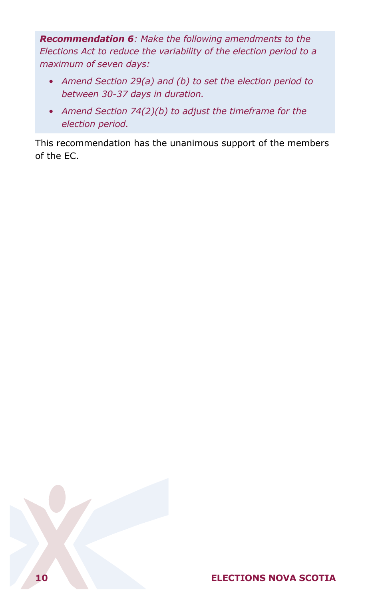*Recommendation 6: Make the following amendments to the Elections Act to reduce the variability of the election period to a maximum of seven days:*

- *• Amend Section 29(a) and (b) to set the election period to between 30-37 days in duration.*
- *• Amend Section 74(2)(b) to adjust the timeframe for the election period.*

This recommendation has the unanimous support of the members of the EC.

## **10 ELECTIONS NOVA SCOTIA**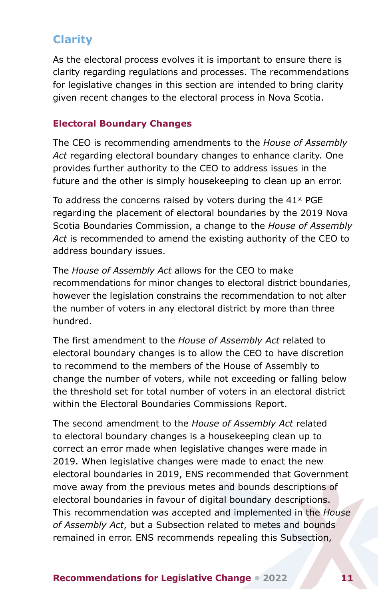## <span id="page-13-0"></span>**Clarity**

As the electoral process evolves it is important to ensure there is clarity regarding regulations and processes. The recommendations for legislative changes in this section are intended to bring clarity given recent changes to the electoral process in Nova Scotia.

### **Electoral Boundary Changes**

The CEO is recommending amendments to the *House of Assembly Act* regarding electoral boundary changes to enhance clarity. One provides further authority to the CEO to address issues in the future and the other is simply housekeeping to clean up an error.

To address the concerns raised by voters during the  $41<sup>st</sup>$  PGE regarding the placement of electoral boundaries by the 2019 Nova Scotia Boundaries Commission, a change to the *House of Assembly Act* is recommended to amend the existing authority of the CEO to address boundary issues.

The *House of Assembly Act* allows for the CEO to make recommendations for minor changes to electoral district boundaries, however the legislation constrains the recommendation to not alter the number of voters in any electoral district by more than three hundred.

The first amendment to the *House of Assembly Act* related to electoral boundary changes is to allow the CEO to have discretion to recommend to the members of the House of Assembly to change the number of voters, while not exceeding or falling below the threshold set for total number of voters in an electoral district within the Electoral Boundaries Commissions Report.

The second amendment to the *House of Assembly Act* related to electoral boundary changes is a housekeeping clean up to correct an error made when legislative changes were made in 2019. When legislative changes were made to enact the new electoral boundaries in 2019, ENS recommended that Government move away from the previous metes and bounds descriptions of electoral boundaries in favour of digital boundary descriptions. This recommendation was accepted and implemented in the *House of Assembly Act*, but a Subsection related to metes and bounds remained in error. ENS recommends repealing this Subsection,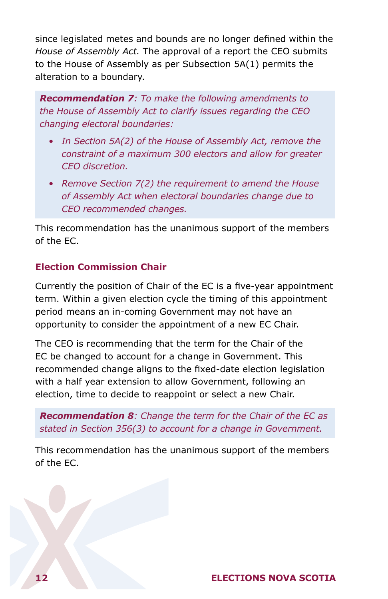<span id="page-14-0"></span>since legislated metes and bounds are no longer defined within the *House of Assembly Act.* The approval of a report the CEO submits to the House of Assembly as per Subsection 5A(1) permits the alteration to a boundary.

*Recommendation 7: To make the following amendments to the House of Assembly Act to clarify issues regarding the CEO changing electoral boundaries:*

- *• In Section 5A(2) of the House of Assembly Act, remove the constraint of a maximum 300 electors and allow for greater CEO discretion.*
- *• Remove Section 7(2) the requirement to amend the House of Assembly Act when electoral boundaries change due to CEO recommended changes.*

This recommendation has the unanimous support of the members of the EC.

## **Election Commission Chair**

Currently the position of Chair of the EC is a five-year appointment term. Within a given election cycle the timing of this appointment period means an in-coming Government may not have an opportunity to consider the appointment of a new EC Chair.

The CEO is recommending that the term for the Chair of the EC be changed to account for a change in Government. This recommended change aligns to the fixed-date election legislation with a half year extension to allow Government, following an election, time to decide to reappoint or select a new Chair.

*Recommendation 8: Change the term for the Chair of the EC as stated in Section 356(3) to account for a change in Government.*

This recommendation has the unanimous support of the members of the EC.

## **12 ELECTIONS NOVA SCOTIA**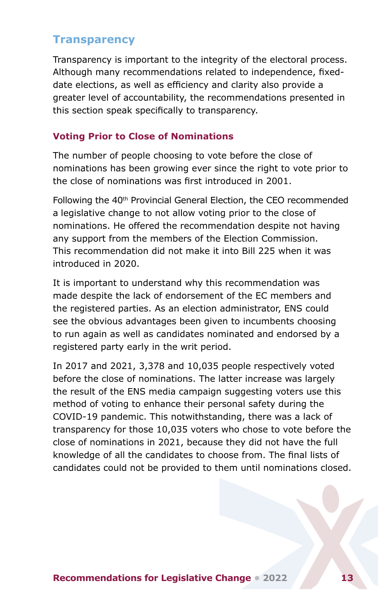## <span id="page-15-0"></span>**Transparency**

Transparency is important to the integrity of the electoral process. Although many recommendations related to independence, fixeddate elections, as well as efficiency and clarity also provide a greater level of accountability, the recommendations presented in this section speak specifically to transparency.

## **Voting Prior to Close of Nominations**

The number of people choosing to vote before the close of nominations has been growing ever since the right to vote prior to the close of nominations was first introduced in 2001.

Following the 40<sup>th</sup> Provincial General Election, the CEO recommended a legislative change to not allow voting prior to the close of nominations. He offered the recommendation despite not having any support from the members of the Election Commission. This recommendation did not make it into Bill 225 when it was introduced in 2020.

It is important to understand why this recommendation was made despite the lack of endorsement of the EC members and the registered parties. As an election administrator, ENS could see the obvious advantages been given to incumbents choosing to run again as well as candidates nominated and endorsed by a registered party early in the writ period.

In 2017 and 2021, 3,378 and 10,035 people respectively voted before the close of nominations. The latter increase was largely the result of the ENS media campaign suggesting voters use this method of voting to enhance their personal safety during the COVID-19 pandemic. This notwithstanding, there was a lack of transparency for those 10,035 voters who chose to vote before the close of nominations in 2021, because they did not have the full knowledge of all the candidates to choose from. The final lists of candidates could not be provided to them until nominations closed.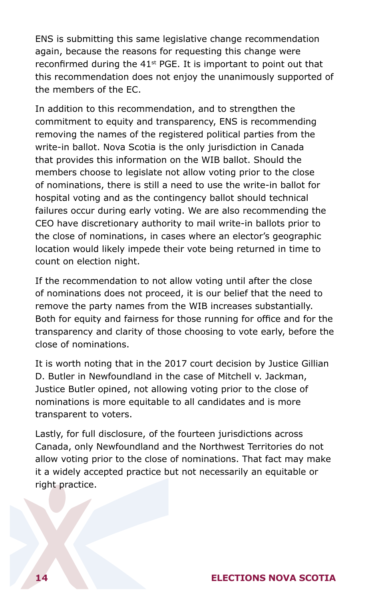ENS is submitting this same legislative change recommendation again, because the reasons for requesting this change were reconfirmed during the  $41<sup>st</sup>$  PGE. It is important to point out that this recommendation does not enjoy the unanimously supported of the members of the EC.

In addition to this recommendation, and to strengthen the commitment to equity and transparency, ENS is recommending removing the names of the registered political parties from the write-in ballot. Nova Scotia is the only jurisdiction in Canada that provides this information on the WIB ballot. Should the members choose to legislate not allow voting prior to the close of nominations, there is still a need to use the write-in ballot for hospital voting and as the contingency ballot should technical failures occur during early voting. We are also recommending the CEO have discretionary authority to mail write-in ballots prior to the close of nominations, in cases where an elector's geographic location would likely impede their vote being returned in time to count on election night.

If the recommendation to not allow voting until after the close of nominations does not proceed, it is our belief that the need to remove the party names from the WIB increases substantially. Both for equity and fairness for those running for office and for the transparency and clarity of those choosing to vote early, before the close of nominations.

It is worth noting that in the 2017 court decision by Justice Gillian D. Butler in Newfoundland in the case of Mitchell v. Jackman, Justice Butler opined, not allowing voting prior to the close of nominations is more equitable to all candidates and is more transparent to voters.

Lastly, for full disclosure, of the fourteen jurisdictions across Canada, only Newfoundland and the Northwest Territories do not allow voting prior to the close of nominations. That fact may make it a widely accepted practice but not necessarily an equitable or right practice.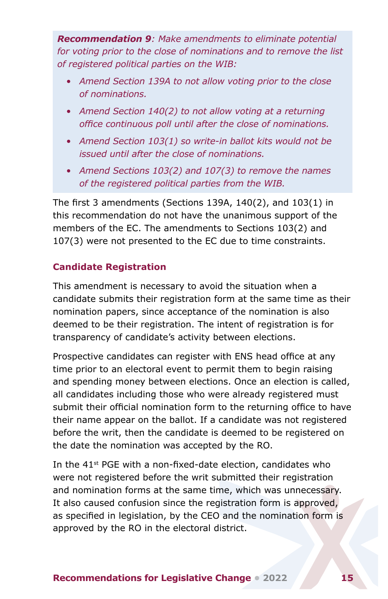<span id="page-17-0"></span>*Recommendation 9: Make amendments to eliminate potential for voting prior to the close of nominations and to remove the list of registered political parties on the WIB:*

- *• Amend Section 139A to not allow voting prior to the close of nominations.*
- *• Amend Section 140(2) to not allow voting at a returning office continuous poll until after the close of nominations.*
- *• Amend Section 103(1) so write-in ballot kits would not be issued until after the close of nominations.*
- *• Amend Sections 103(2) and 107(3) to remove the names of the registered political parties from the WIB.*

The first 3 amendments (Sections 139A, 140(2), and 103(1) in this recommendation do not have the unanimous support of the members of the EC. The amendments to Sections 103(2) and 107(3) were not presented to the EC due to time constraints.

## **Candidate Registration**

This amendment is necessary to avoid the situation when a candidate submits their registration form at the same time as their nomination papers, since acceptance of the nomination is also deemed to be their registration. The intent of registration is for transparency of candidate's activity between elections.

Prospective candidates can register with ENS head office at any time prior to an electoral event to permit them to begin raising and spending money between elections. Once an election is called, all candidates including those who were already registered must submit their official nomination form to the returning office to have their name appear on the ballot. If a candidate was not registered before the writ, then the candidate is deemed to be registered on the date the nomination was accepted by the RO.

In the 41<sup>st</sup> PGE with a non-fixed-date election, candidates who were not registered before the writ submitted their registration and nomination forms at the same time, which was unnecessary. It also caused confusion since the registration form is approved, as specified in legislation, by the CEO and the nomination form is approved by the RO in the electoral district.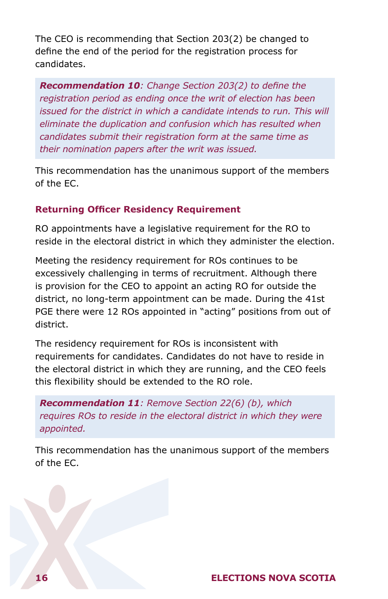<span id="page-18-0"></span>The CEO is recommending that Section 203(2) be changed to define the end of the period for the registration process for candidates.

*Recommendation 10: Change Section 203(2) to define the registration period as ending once the writ of election has been issued for the district in which a candidate intends to run. This will eliminate the duplication and confusion which has resulted when candidates submit their registration form at the same time as their nomination papers after the writ was issued.* 

This recommendation has the unanimous support of the members of the EC.

## **Returning Officer Residency Requirement**

RO appointments have a legislative requirement for the RO to reside in the electoral district in which they administer the election.

Meeting the residency requirement for ROs continues to be excessively challenging in terms of recruitment. Although there is provision for the CEO to appoint an acting RO for outside the district, no long-term appointment can be made. During the 41st PGE there were 12 ROs appointed in "acting" positions from out of district.

The residency requirement for ROs is inconsistent with requirements for candidates. Candidates do not have to reside in the electoral district in which they are running, and the CEO feels this flexibility should be extended to the RO role.

*Recommendation 11: Remove Section 22(6) (b), which requires ROs to reside in the electoral district in which they were appointed.*

This recommendation has the unanimous support of the members of the EC.

## **16 ELECTIONS NOVA SCOTIA**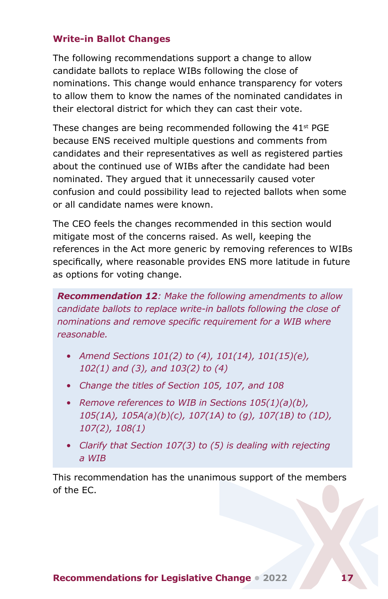## <span id="page-19-0"></span>**Write-in Ballot Changes**

The following recommendations support a change to allow candidate ballots to replace WIBs following the close of nominations. This change would enhance transparency for voters to allow them to know the names of the nominated candidates in their electoral district for which they can cast their vote.

These changes are being recommended following the 41st PGE because ENS received multiple questions and comments from candidates and their representatives as well as registered parties about the continued use of WIBs after the candidate had been nominated. They argued that it unnecessarily caused voter confusion and could possibility lead to rejected ballots when some or all candidate names were known.

The CEO feels the changes recommended in this section would mitigate most of the concerns raised. As well, keeping the references in the Act more generic by removing references to WIBs specifically, where reasonable provides ENS more latitude in future as options for voting change.

*Recommendation 12: Make the following amendments to allow candidate ballots to replace write-in ballots following the close of nominations and remove specific requirement for a WIB where reasonable.* 

- *• Amend Sections 101(2) to (4), 101(14), 101(15)(e), 102(1) and (3), and 103(2) to (4)*
- *• Change the titles of Section 105, 107, and 108*
- *• Remove references to WIB in Sections 105(1)(a)(b), 105(1A), 105A(a)(b)(c), 107(1A) to (g), 107(1B) to (1D), 107(2), 108(1)*
- *• Clarify that Section 107(3) to (5) is dealing with rejecting a WIB*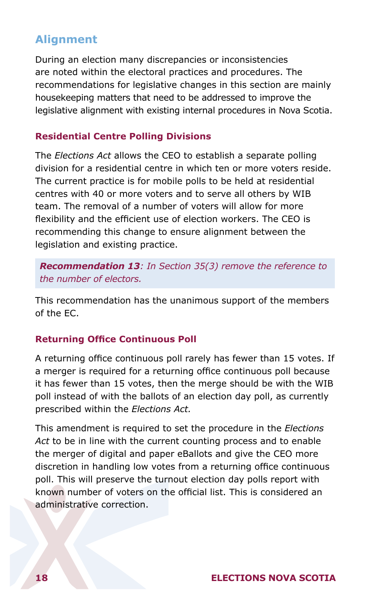## <span id="page-20-0"></span>**Alignment**

During an election many discrepancies or inconsistencies are noted within the electoral practices and procedures. The recommendations for legislative changes in this section are mainly housekeeping matters that need to be addressed to improve the legislative alignment with existing internal procedures in Nova Scotia.

#### **Residential Centre Polling Divisions**

The *Elections Act* allows the CEO to establish a separate polling division for a residential centre in which ten or more voters reside. The current practice is for mobile polls to be held at residential centres with 40 or more voters and to serve all others by WIB team. The removal of a number of voters will allow for more flexibility and the efficient use of election workers. The CEO is recommending this change to ensure alignment between the legislation and existing practice.

*Recommendation 13: In Section 35(3) remove the reference to the number of electors.* 

This recommendation has the unanimous support of the members of the EC.

#### **Returning Office Continuous Poll**

A returning office continuous poll rarely has fewer than 15 votes. If a merger is required for a returning office continuous poll because it has fewer than 15 votes, then the merge should be with the WIB poll instead of with the ballots of an election day poll, as currently prescribed within the *Elections Act.*

This amendment is required to set the procedure in the *Elections Act* to be in line with the current counting process and to enable the merger of digital and paper eBallots and give the CEO more discretion in handling low votes from a returning office continuous poll. This will preserve the turnout election day polls report with known number of voters on the official list. This is considered an administrative correction.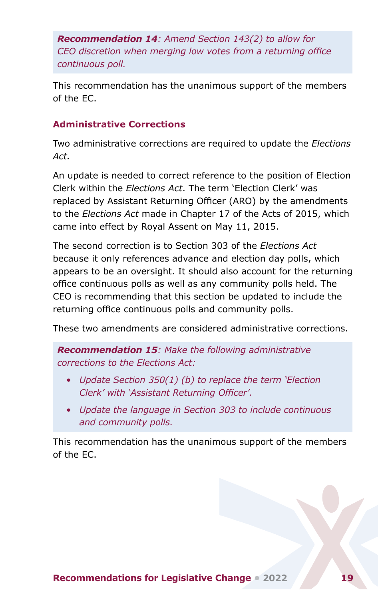<span id="page-21-0"></span>*Recommendation 14: Amend Section 143(2) to allow for CEO discretion when merging low votes from a returning office continuous poll.* 

This recommendation has the unanimous support of the members of the EC.

## **Administrative Corrections**

Two administrative corrections are required to update the *Elections Act.*

An update is needed to correct reference to the position of Election Clerk within the *Elections Act*. The term 'Election Clerk' was replaced by Assistant Returning Officer (ARO) by the amendments to the *Elections Act* made in Chapter 17 of the Acts of 2015, which came into effect by Royal Assent on May 11, 2015.

The second correction is to Section 303 of the *Elections Act* because it only references advance and election day polls, which appears to be an oversight. It should also account for the returning office continuous polls as well as any community polls held. The CEO is recommending that this section be updated to include the returning office continuous polls and community polls.

These two amendments are considered administrative corrections.

*Recommendation 15: Make the following administrative corrections to the Elections Act:*

- *• Update Section 350(1) (b) to replace the term 'Election Clerk' with 'Assistant Returning Officer'.*
- *• Update the language in Section 303 to include continuous and community polls.*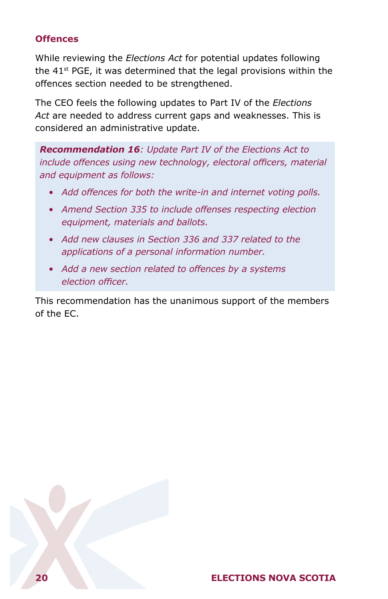## <span id="page-22-0"></span>**Offences**

While reviewing the *Elections Act* for potential updates following the  $41<sup>st</sup>$  PGE, it was determined that the legal provisions within the offences section needed to be strengthened.

The CEO feels the following updates to Part IV of the *Elections Act* are needed to address current gaps and weaknesses. This is considered an administrative update.

*Recommendation 16: Update Part IV of the Elections Act to include offences using new technology, electoral officers, material and equipment as follows:*

- *• Add offences for both the write-in and internet voting polls.*
- *• Amend Section 335 to include offenses respecting election equipment, materials and ballots.*
- *• Add new clauses in Section 336 and 337 related to the applications of a personal information number.*
- *• Add a new section related to offences by a systems election officer.*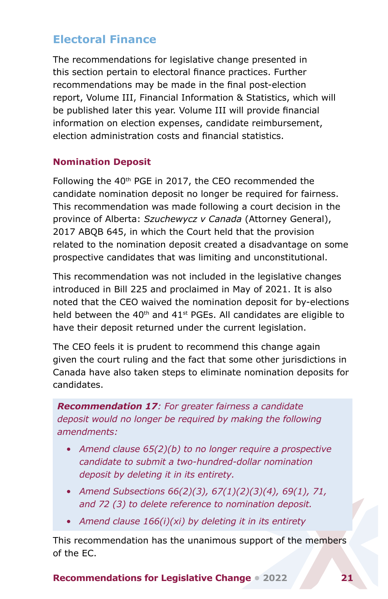## <span id="page-23-0"></span>**Electoral Finance**

The recommendations for legislative change presented in this section pertain to electoral finance practices. Further recommendations may be made in the final post-election report, Volume III, Financial Information & Statistics, which will be published later this year. Volume III will provide financial information on election expenses, candidate reimbursement, election administration costs and financial statistics.

## **Nomination Deposit**

Following the 40<sup>th</sup> PGE in 2017, the CEO recommended the candidate nomination deposit no longer be required for fairness. This recommendation was made following a court decision in the province of Alberta: *Szuchewycz v Canada* (Attorney General), 2017 ABQB 645, in which the Court held that the provision related to the nomination deposit created a disadvantage on some prospective candidates that was limiting and unconstitutional.

This recommendation was not included in the legislative changes introduced in Bill 225 and proclaimed in May of 2021. It is also noted that the CEO waived the nomination deposit for by-elections held between the  $40<sup>th</sup>$  and  $41<sup>st</sup>$  PGEs. All candidates are eligible to have their deposit returned under the current legislation.

The CEO feels it is prudent to recommend this change again given the court ruling and the fact that some other jurisdictions in Canada have also taken steps to eliminate nomination deposits for candidates.

*Recommendation 17: For greater fairness a candidate deposit would no longer be required by making the following amendments:*

- *• Amend clause 65(2)(b) to no longer require a prospective candidate to submit a two-hundred-dollar nomination deposit by deleting it in its entirety.*
- *• Amend Subsections 66(2)(3), 67(1)(2)(3)(4), 69(1), 71, and 72 (3) to delete reference to nomination deposit.*
- *• Amend clause 166(i)(xi) by deleting it in its entirety*

This recommendation has the unanimous support of the members of the EC.

**Recommendations for Legislative Change • 2022 21**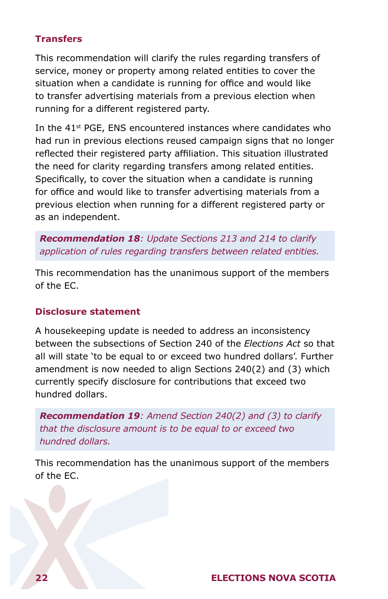## <span id="page-24-0"></span>**Transfers**

This recommendation will clarify the rules regarding transfers of service, money or property among related entities to cover the situation when a candidate is running for office and would like to transfer advertising materials from a previous election when running for a different registered party.

In the 41<sup>st</sup> PGE, ENS encountered instances where candidates who had run in previous elections reused campaign signs that no longer reflected their registered party affiliation. This situation illustrated the need for clarity regarding transfers among related entities. Specifically, to cover the situation when a candidate is running for office and would like to transfer advertising materials from a previous election when running for a different registered party or as an independent.

*Recommendation 18: Update Sections 213 and 214 to clarify application of rules regarding transfers between related entities.*

This recommendation has the unanimous support of the members of the EC.

### **Disclosure statement**

A housekeeping update is needed to address an inconsistency between the subsections of Section 240 of the *Elections Act* so that all will state 'to be equal to or exceed two hundred dollars'. Further amendment is now needed to align Sections 240(2) and (3) which currently specify disclosure for contributions that exceed two hundred dollars.

*Recommendation 19: Amend Section 240(2) and (3) to clarify that the disclosure amount is to be equal to or exceed two hundred dollars.*